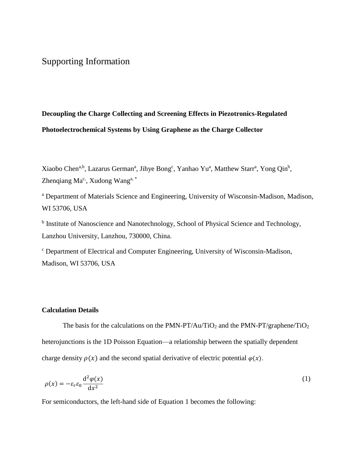# Supporting Information

# **Decoupling the Charge Collecting and Screening Effects in Piezotronics-Regulated Photoelectrochemical Systems by Using Graphene as the Charge Collector**

Xiaobo Chen<sup>a,b</sup>, Lazarus German<sup>a</sup>, Jihye Bong<sup>c</sup>, Yanhao Yu<sup>a</sup>, Matthew Starr<sup>a</sup>, Yong Qin<sup>b</sup>, Zhenqiang  $Ma^c$ , Xudong Wang<sup>a, \*</sup>

<sup>a</sup> Department of Materials Science and Engineering, University of Wisconsin-Madison, Madison, WI 53706, USA

<sup>b</sup> Institute of Nanoscience and Nanotechnology, School of Physical Science and Technology, Lanzhou University, Lanzhou, 730000, China.

<sup>c</sup> Department of Electrical and Computer Engineering, University of Wisconsin-Madison, Madison, WI 53706, USA

#### **Calculation Details**

The basis for the calculations on the PMN-PT/Au/TiO<sub>2</sub> and the PMN-PT/graphene/TiO<sub>2</sub> heterojunctions is the 1D Poisson Equation—a relationship between the spatially dependent charge density  $\rho(x)$  and the second spatial derivative of electric potential  $\varphi(x)$ .

$$
\rho(x) = -\varepsilon_r \varepsilon_0 \frac{\mathrm{d}^2 \varphi(x)}{\mathrm{d} x^2} \tag{1}
$$

For semiconductors, the left-hand side of Equation 1 becomes the following: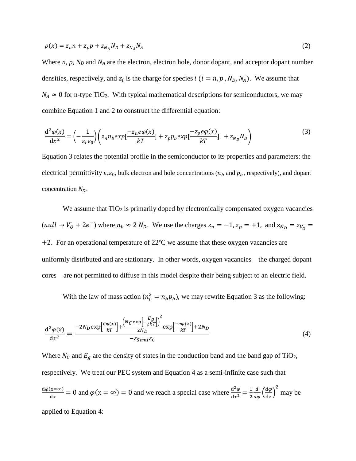$$
\rho(x) = z_n n + z_p p + z_{N_D} N_D + z_{N_A} N_A \tag{2}
$$

Where *n, p, N<sup>D</sup>* and *N<sup>A</sup>* are the electron, electron hole, donor dopant, and acceptor dopant number densities, respectively, and  $z_i$  is the charge for species  $i$  ( $i = n, p, N_D, N_A$ ). We assume that  $N_A \approx 0$  for n-type TiO<sub>2</sub>. With typical mathematical descriptions for semiconductors, we may combine Equation 1 and 2 to construct the differential equation:

$$
\frac{d^2\varphi(x)}{dx^2} = \left(-\frac{1}{\varepsilon_r \varepsilon_0}\right) \left(z_n n_b exp\left[\frac{-z_n e\varphi(x)}{kT}\right] + z_p p_b exp\left[\frac{-z_p e\varphi(x)}{kT}\right] + z_{N_D} N_D\right) \tag{3}
$$

Equation 3 relates the potential profile in the semiconductor to its properties and parameters: the electrical permittivity  $\varepsilon_r \varepsilon_0$ , bulk electron and hole concentrations ( $n_b$  and  $p_b$ , respectively), and dopant concentration  $N_D$ .

We assume that  $TiO<sub>2</sub>$  is primarily doped by electronically compensated oxygen vacancies  $\text{(null} \rightarrow V_0^+ + 2e^-)$  where  $n_b \approx 2 N_D$ . We use the charges  $z_n = -1$ ,  $z_p = +1$ , and  $z_{N_D} = z_{V_O^+} =$  $+2$ . For an operational temperature of 22 $^{\circ}$ C we assume that these oxygen vacancies are uniformly distributed and are stationary. In other words, oxygen vacancies—the charged dopant cores—are not permitted to diffuse in this model despite their being subject to an electric field.

With the law of mass action ( $n_i^2 = n_b p_b$ ), we may rewrite Equation 3 as the following:

$$
\frac{\mathrm{d}^2 \varphi(x)}{\mathrm{d}x^2} = \frac{-2N_D \exp\left[\frac{e\varphi(x)}{kT}\right] + \frac{\left(N_C \exp\left[-\frac{E_g}{2kT}\right]\right)^2}{2N_D} \exp\left[\frac{-e\varphi(x)}{kT}\right] + 2N_D}{-\varepsilon_{Semi}\varepsilon_0} \tag{4}
$$

Where  $N_c$  and  $E_g$  are the density of states in the conduction band and the band gap of TiO<sub>2</sub>, respectively. We treat our PEC system and Equation 4 as a semi-infinite case such that  $d\varphi(x=\infty)$  $\frac{d(x = \infty)}{dx} = 0$  and  $\varphi(x = \infty) = 0$  and we reach a special case where  $\frac{d^2 \varphi}{dx^2}$  $\frac{\mathrm{d}^2 \varphi}{\mathrm{d} x^2} = \frac{1}{2}$ 2  $\frac{d}{d\varphi} \left( \frac{d\varphi}{dx} \right)$  $\left(\frac{d\varphi}{dx}\right)^2$  may be applied to Equation 4: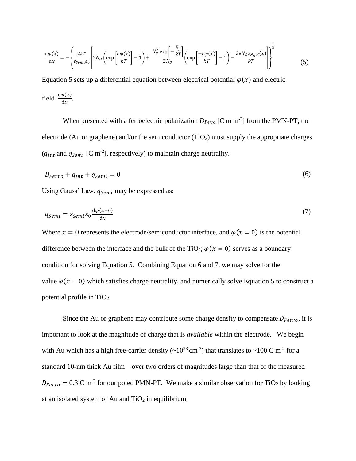$$
\frac{d\varphi(x)}{dx} = -\left\{ \frac{2kT}{\varepsilon_{Semi}\varepsilon_0} \left[ 2N_D \left( \exp\left[\frac{e\varphi(x)}{kT}\right] - 1 \right) + \frac{N_C^2 \exp\left[-\frac{E_g}{kT}\right]}{2N_D} \left( \exp\left[\frac{-e\varphi(x)}{kT}\right] - 1 \right) - \frac{2eN_D z_{N_D} \varphi(x)}{kT} \right] \right\}^{\frac{1}{2}}
$$
(5)

Equation 5 sets up a differential equation between electrical potential  $\varphi(x)$  and electric field  $\frac{d\varphi(x)}{dx}$ .

When presented with a ferroelectric polarization  $D_{Ferro}$  [C m m<sup>-3</sup>] from the PMN-PT, the electrode (Au or graphene) and/or the semiconductor  $(TiO<sub>2</sub>)$  must supply the appropriate charges  $(q_{Int}$  and  $q_{Semi}$  [C m<sup>-2</sup>], respectively) to maintain charge neutrality.

$$
D_{Ferro} + q_{Int} + q_{Semi} = 0 \tag{6}
$$

Using Gauss' Law,  $q_{\text{Semi}}$  may be expressed as:

$$
q_{Semi} = \varepsilon_{Semi}\varepsilon_0 \frac{\mathrm{d}\varphi(x=0)}{\mathrm{d}x} \tag{7}
$$

Where  $x = 0$  represents the electrode/semiconductor interface, and  $\varphi(x = 0)$  is the potential difference between the interface and the bulk of the TiO<sub>2</sub>;  $\varphi$ ( $x = 0$ ) serves as a boundary condition for solving Equation 5. Combining Equation 6 and 7, we may solve for the value  $\varphi$ ( $x = 0$ ) which satisfies charge neutrality, and numerically solve Equation 5 to construct a potential profile in TiO2.

Since the Au or graphene may contribute some charge density to compensate  $D_{Ferro}$ , it is important to look at the magnitude of charge that is *available* within the electrode. We begin with Au which has a high free-carrier density  $({\sim}10^{23} \text{ cm}^{-3})$  that translates to  ${\sim}100 \text{ C m}^{-2}$  for a standard 10-nm thick Au film—over two orders of magnitudes large than that of the measured  $D_{Ferro} = 0.3$  C m<sup>-2</sup> for our poled PMN-PT. We make a similar observation for TiO<sub>2</sub> by looking at an isolated system of Au and  $TiO<sub>2</sub>$  in equilibrium.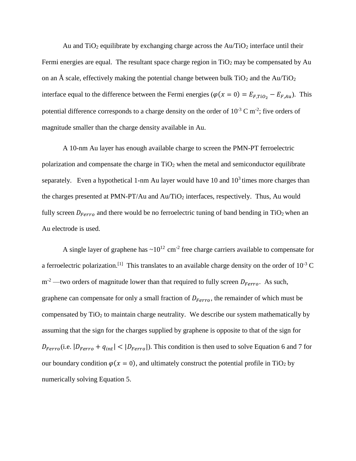Au and  $TiO<sub>2</sub>$  equilibrate by exchanging charge across the Au/TiO<sub>2</sub> interface until their Fermi energies are equal. The resultant space charge region in  $TiO<sub>2</sub>$  may be compensated by Au on an Å scale, effectively making the potential change between bulk  $TiO<sub>2</sub>$  and the Au/TiO<sub>2</sub> interface equal to the difference between the Fermi energies ( $\varphi(x = 0) = E_{F,TiO_2} - E_{F,Au}$ ). This potential difference corresponds to a charge density on the order of  $10^{-3}$  C m<sup>-2</sup>; five orders of magnitude smaller than the charge density available in Au.

A 10-nm Au layer has enough available charge to screen the PMN-PT ferroelectric polarization and compensate the charge in  $TiO<sub>2</sub>$  when the metal and semiconductor equilibrate separately. Even a hypothetical 1-nm Au layer would have 10 and  $10<sup>3</sup>$  times more charges than the charges presented at PMN-PT/Au and Au/TiO<sub>2</sub> interfaces, respectively. Thus, Au would fully screen  $D_{Ferro}$  and there would be no ferroelectric tuning of band bending in TiO<sub>2</sub> when an Au electrode is used.

A single layer of graphene has  $\sim 10^{12}$  cm<sup>-2</sup> free charge carriers available to compensate for a ferroelectric polarization.<sup>[1]</sup> This translates to an available charge density on the order of  $10^{-3}$  C  $m^{-2}$ —two orders of magnitude lower than that required to fully screen  $D_{Ferro}$ . As such, graphene can compensate for only a small fraction of  $D_{Ferro}$ , the remainder of which must be compensated by  $TiO<sub>2</sub>$  to maintain charge neutrality. We describe our system mathematically by assuming that the sign for the charges supplied by graphene is opposite to that of the sign for  $D_{Ferro}$ (i.e.  $|D_{Ferro} + q_{int}| < |D_{Ferro}|$ ). This condition is then used to solve Equation 6 and 7 for our boundary condition  $\varphi$  ( $x = 0$ ), and ultimately construct the potential profile in TiO<sub>2</sub> by numerically solving Equation 5.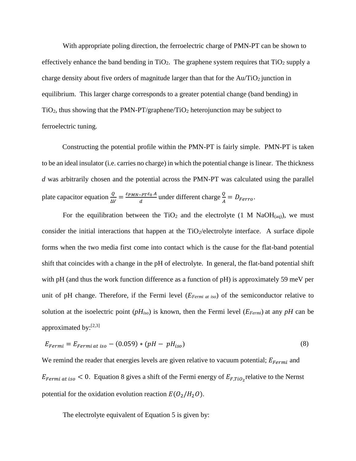With appropriate poling direction, the ferroelectric charge of PMN-PT can be shown to effectively enhance the band bending in  $TiO<sub>2</sub>$ . The graphene system requires that  $TiO<sub>2</sub>$  supply a charge density about five orders of magnitude larger than that for the  $Au/TiO<sub>2</sub>$  junction in equilibrium. This larger charge corresponds to a greater potential change (band bending) in  $TiO<sub>2</sub>$ , thus showing that the PMN-PT/graphene/TiO<sub>2</sub> heterojunction may be subject to ferroelectric tuning.

Constructing the potential profile within the PMN-PT is fairly simple. PMN-PT is taken to be an ideal insulator (i.e. carries no charge) in which the potential change is linear. The thickness *d* was arbitrarily chosen and the potential across the PMN-PT was calculated using the parallel plate capacitor equation  $\frac{Q}{\Delta V} = \frac{\varepsilon_{PMN-PT}\varepsilon_0 A}{d}$  $\frac{C}{d}$  under different charge  $\frac{Q}{A} = D_{Ferro}$ .

For the equilibration between the TiO<sub>2</sub> and the electrolyte (1 M NaOH<sub>(aq)</sub>), we must consider the initial interactions that happen at the  $TiO<sub>2</sub>/electrolyte interface$ . A surface dipole forms when the two media first come into contact which is the cause for the flat-band potential shift that coincides with a change in the pH of electrolyte. In general, the flat-band potential shift with pH (and thus the work function difference as a function of pH) is approximately 59 meV per unit of pH change. Therefore, if the Fermi level (*EFermi at iso*) of the semiconductor relative to solution at the isoelectric point (*pHiso*) is known, then the Fermi level (*EFermi*) at any *pH* can be approximated by:<sup>[2,3]</sup>

$$
E_{Fermi} = E_{Fermi at iso} - (0.059) * (pH - pH_{iso})
$$
\n
$$
(8)
$$

We remind the reader that energies levels are given relative to vacuum potential;  $E_{Fermi}$  and  $E_{Fermi at iso} < 0$ . Equation 8 gives a shift of the Fermi energy of  $E_{F,Tio_2}$  relative to the Nernst potential for the oxidation evolution reaction  $E(O_2/H_2O)$ .

The electrolyte equivalent of Equation 5 is given by: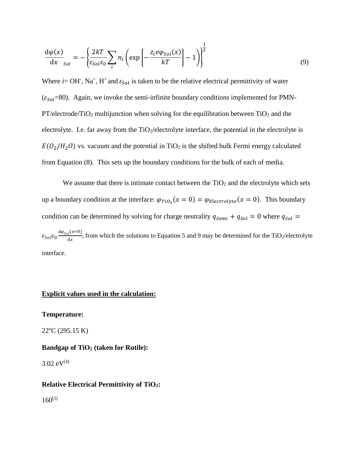$$
\frac{d\varphi(x)}{dx}_{sol} = -\left\{ \frac{2kT}{\varepsilon_{sol}\varepsilon_0} \sum_i n_i \left( \exp\left[ -\frac{z_i e \varphi_{Sol}(x)}{kT} \right] - 1 \right) \right\}^{\frac{1}{2}}
$$
(9)

1

Where  $i = OH$ , Na<sup>+</sup>, H<sup>+</sup> and  $\varepsilon_{Sol}$  is taken to be the relative electrical permittivity of water ( $\varepsilon_{Sol}$ =80). Again, we invoke the semi-infinite boundary conditions implemented for PMN- $PT/electrode/TiO<sub>2</sub>$  multijunction when solving for the equilibration between  $TiO<sub>2</sub>$  and the electrolyte. I.e. far away from the  $TiO<sub>2</sub>/electrolyte$  interface, the potential in the electrolyte is  $E(O_2/H_2 O)$  vs. vacuum and the potential in TiO<sub>2</sub> is the shifted bulk Fermi energy calculated from Equation (8). This sets up the boundary conditions for the bulk of each of media.

We assume that there is intimate contact between the  $TiO<sub>2</sub>$  and the electrolyte which sets up a boundary condition at the interface:  $\varphi_{TiO_2}(x=0) = \varphi_{Electrolyte}(x=0)$ . This boundary condition can be determined by solving for charge neutrality  $q_{\text{Semi}} + q_{\text{sol}} = 0$  where  $q_{\text{sol}} =$  $\varepsilon_{Sol} \varepsilon_0 \frac{d\varphi_{Sol}(x=0)}{dx}$  $\frac{d^{(\lambda - \sigma)}}{dx}$ , from which the solutions to Equation 5 and 9 may be determined for the TiO<sub>2</sub>/electrolyte interface.

#### **Explicit values used in the calculation:**

#### **Temperature:**

22°C (295.15 K)

#### **Bandgap of TiO<sup>2</sup> (taken for Rutile):**

 $3.02 \text{ eV}^{[4]}$ 

#### **Relative Electrical Permittivity of TiO2:**

 $160^{[5]}$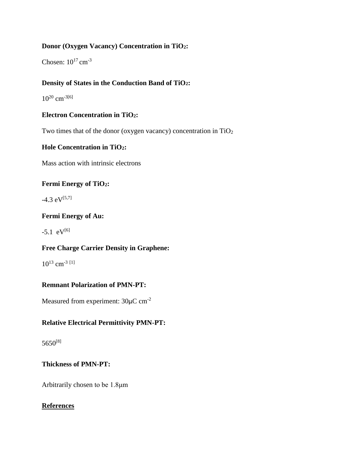## **Donor (Oxygen Vacancy) Concentration in TiO2:**

Chosen:  $10^{17}$  cm<sup>-3</sup>

# **Density of States in the Conduction Band of TiO2:**

 $10^{20}$  cm<sup>-3[6]</sup>

## **Electron Concentration in TiO2:**

Two times that of the donor (oxygen vacancy) concentration in  $TiO<sub>2</sub>$ 

## **Hole Concentration in TiO2:**

Mass action with intrinsic electrons

## **Fermi Energy of TiO2:**

 $-4.3 \text{ eV}^{[5,7]}$ 

## **Fermi Energy of Au:**

 $-5.1$  eV<sup>[6]</sup>

## **Free Charge Carrier Density in Graphene:**

 $10^{13}$  cm<sup>-3 [1]</sup>

## **Remnant Polarization of PMN-PT:**

Measured from experiment: 30μC cm-2

## **Relative Electrical Permittivity PMN-PT:**

5650[8]

## **Thickness of PMN-PT:**

Arbitrarily chosen to be 1.8μm

## **References**